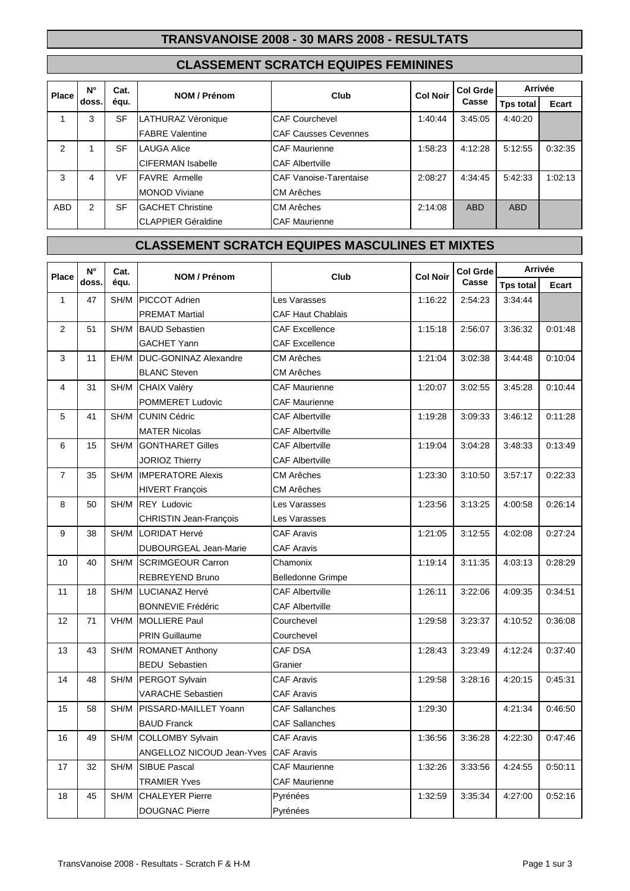### **TRANSVANOISE 2008 - 30 MARS 2008 - RESULTATS**

## **CLASSEMENT SCRATCH EQUIPES FEMININES**

| <b>Place</b>   | N°    | Cat.      | NOM / Prénom              | Club                        | <b>Col Noir</b> | <b>Col Grde</b><br>Casse | Arrivée          |         |
|----------------|-------|-----------|---------------------------|-----------------------------|-----------------|--------------------------|------------------|---------|
|                | doss. | équ.      |                           |                             |                 |                          | <b>Tps total</b> | Ecart   |
|                | 3     | <b>SF</b> | LATHURAZ Véronique        | <b>CAF Courchevel</b>       | 1:40:44         | 3:45:05                  | 4:40:20          |         |
|                |       |           | <b>FABRE Valentine</b>    | <b>CAF Causses Cevennes</b> |                 |                          |                  |         |
| $\mathfrak{p}$ |       | <b>SF</b> | <b>LAUGA Alice</b>        | <b>CAF Maurienne</b>        | 1:58:23         | 4:12:28                  | 5:12:55          | 0:32:35 |
|                |       |           | <b>CIFERMAN Isabelle</b>  | <b>CAF Albertville</b>      |                 |                          |                  |         |
| 3              | 4     | VF        | <b>IFAVRE</b> Armelle     | CAF Vanoise-Tarentaise      | 2:08:27         | 4:34:45                  | 5:42:33          | 1:02:13 |
|                |       |           | <b>MONOD Viviane</b>      | <b>CM Arêches</b>           |                 |                          |                  |         |
| <b>ABD</b>     | 2     | SF        | <b>GACHET Christine</b>   | CM Arêches                  | 2:14:08         | <b>ABD</b>               | <b>ABD</b>       |         |
|                |       |           | <b>CLAPPIER Géraldine</b> | <b>CAF Maurienne</b>        |                 |                          |                  |         |

# **CLASSEMENT SCRATCH EQUIPES MASCULINES ET MIXTES**

|                | $\mathsf{N}^\circ$<br><b>Place</b><br>doss. | Cat.<br>équ. | NOM / Prénom                 | Club                     | <b>Col Noir</b> | <b>Col Grde</b><br>Casse | Arrivée          |              |
|----------------|---------------------------------------------|--------------|------------------------------|--------------------------|-----------------|--------------------------|------------------|--------------|
|                |                                             |              |                              |                          |                 |                          | <b>Tps total</b> | <b>Ecart</b> |
| $\mathbf{1}$   | 47                                          | SH/M         | PICCOT Adrien                | Les Varasses             | 1:16:22         | 2:54:23                  | 3:34:44          |              |
|                |                                             |              | <b>PREMAT Martial</b>        | <b>CAF Haut Chablais</b> |                 |                          |                  |              |
| $\overline{2}$ | 51                                          | SH/M         | <b>BAUD Sebastien</b>        | <b>CAF Excellence</b>    | 1:15:18         | 2:56:07                  | 3:36:32          | 0:01:48      |
|                |                                             |              | <b>GACHET Yann</b>           | <b>CAF Excellence</b>    |                 |                          |                  |              |
| $\mathbf{3}$   | 11                                          | EH/M         | <b>DUC-GONINAZ Alexandre</b> | CM Arêches               | 1:21:04         | 3:02:38                  | 3:44:48          | 0:10:04      |
|                |                                             |              | <b>BLANC Steven</b>          | <b>CM Arêches</b>        |                 |                          |                  |              |
| 4              | 31                                          | SH/M         | <b>CHAIX Valéry</b>          | <b>CAF Maurienne</b>     | 1:20:07         | 3:02:55                  | 3:45:28          | 0:10:44      |
|                |                                             |              | POMMERET Ludovic             | <b>CAF Maurienne</b>     |                 |                          |                  |              |
| $\sqrt{5}$     | 41                                          | SH/M         | CUNIN Cédric                 | <b>CAF Albertville</b>   | 1:19:28         | 3:09:33                  | 3:46:12          | 0:11:28      |
|                |                                             |              | <b>MATER Nicolas</b>         | <b>CAF Albertville</b>   |                 |                          |                  |              |
| 6              | 15                                          | SH/M         | <b>GONTHARET Gilles</b>      | <b>CAF Albertville</b>   | 1:19:04         | 3:04:28                  | 3:48:33          | 0:13:49      |
|                |                                             |              | <b>JORIOZ Thierry</b>        | <b>CAF Albertville</b>   |                 |                          |                  |              |
| $\overline{7}$ | 35                                          | SH/M         | <b>IMPERATORE Alexis</b>     | CM Arêches               | 1:23:30         | 3:10:50                  | 3:57:17          | 0:22:33      |
|                |                                             |              | <b>HIVERT François</b>       | CM Arêches               |                 |                          |                  |              |
| 8              | 50                                          | SH/M         | <b>REY Ludovic</b>           | Les Varasses             | 1:23:56         | 3:13:25                  | 4:00:58          | 0:26:14      |
|                |                                             |              | CHRISTIN Jean-François       | Les Varasses             |                 |                          |                  |              |
| 9              | 38                                          | SH/M         | LORIDAT Hervé                | <b>CAF Aravis</b>        | 1:21:05         | 3:12:55                  | 4:02:08          | 0:27:24      |
|                |                                             |              | <b>DUBOURGEAL Jean-Marie</b> | <b>CAF Aravis</b>        |                 |                          |                  |              |
| 10             | 40                                          | SH/M         | <b>SCRIMGEOUR Carron</b>     | Chamonix                 | 1:19:14         | 3:11:35                  | 4:03:13          | 0:28:29      |
|                |                                             |              | <b>REBREYEND Bruno</b>       | <b>Belledonne Grimpe</b> |                 |                          |                  |              |
| 11             | 18                                          | SH/M         | LUCIANAZ Hervé               | <b>CAF Albertville</b>   | 1:26:11         | 3:22:06                  | 4:09:35          | 0:34:51      |
|                |                                             |              | <b>BONNEVIE Frédéric</b>     | <b>CAF Albertville</b>   |                 |                          |                  |              |
| 12             | 71                                          | VH/M         | <b>MOLLIERE Paul</b>         | Courchevel               | 1:29:58         | 3:23:37                  | 4:10:52          | 0:36:08      |
|                |                                             |              | <b>PRIN Guillaume</b>        | Courchevel               |                 |                          |                  |              |
| 13             | 43                                          | SH/M         | <b>ROMANET Anthony</b>       | CAF DSA                  | 1:28:43         | 3:23:49                  | 4:12:24          | 0:37:40      |
|                |                                             |              | <b>BEDU</b> Sebastien        | Granier                  |                 |                          |                  |              |
| 14             | 48                                          | SH/M         | PERGOT Sylvain               | <b>CAF Aravis</b>        | 1:29:58         | 3:28:16                  | 4:20:15          | 0:45:31      |
|                |                                             |              | <b>VARACHE Sebastien</b>     | <b>CAF Aravis</b>        |                 |                          |                  |              |
| 15             | 58                                          | SH/M         | PISSARD-MAILLET Yoann        | <b>CAF Sallanches</b>    | 1:29:30         |                          | 4:21:34          | 0:46:50      |
|                |                                             |              | <b>BAUD Franck</b>           | <b>CAF Sallanches</b>    |                 |                          |                  |              |
| 16             | 49                                          |              | SH/M COLLOMBY Sylvain        | <b>CAF Aravis</b>        |                 | 1:36:56 3:36:28          | 4:22:30 0:47:46  |              |
|                |                                             |              | ANGELLOZ NICOUD Jean-Yves    | <b>CAF Aravis</b>        |                 |                          |                  |              |
| 17             | 32                                          | SH/M         | <b>SIBUE Pascal</b>          | <b>CAF Maurienne</b>     | 1:32:26         | 3:33:56                  | 4:24:55          | 0:50:11      |
|                |                                             |              | <b>TRAMIER Yves</b>          | CAF Maurienne            |                 |                          |                  |              |
| 18             | 45                                          | SH/M         | <b>CHALEYER Pierre</b>       | Pyrénées                 | 1:32:59         | 3:35:34                  | 4:27:00          | 0:52:16      |
|                |                                             |              | <b>DOUGNAC Pierre</b>        | Pyrénées                 |                 |                          |                  |              |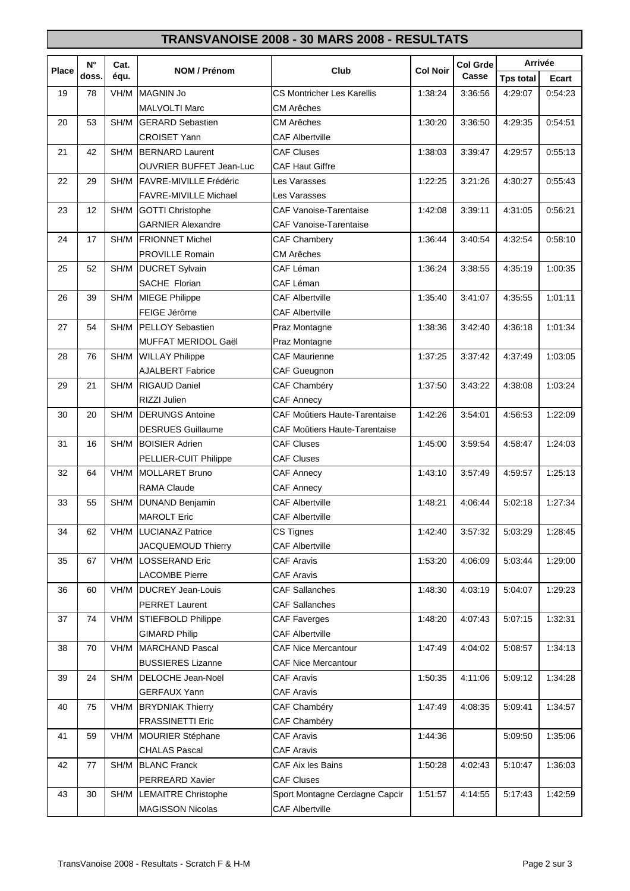## **TRANSVANOISE 2008 - 30 MARS 2008 - RESULTATS**

|              | $N^{\circ}$<br>doss. | Cat.<br>équ. | NOM / Prénom                   | Club                              | <b>Col Noir</b> | <b>Col Grde</b><br>Casse | Arrivée          |         |
|--------------|----------------------|--------------|--------------------------------|-----------------------------------|-----------------|--------------------------|------------------|---------|
| <b>Place</b> |                      |              |                                |                                   |                 |                          | <b>Tps total</b> | Ecart   |
| 19           | 78                   | VH/M         | MAGNIN Jo                      | <b>CS Montricher Les Karellis</b> | 1:38:24         | 3:36:56                  | 4:29:07          | 0:54:23 |
|              |                      |              | <b>MALVOLTI Marc</b>           | CM Arêches                        |                 |                          |                  |         |
| 20           | 53                   | SH/M         | <b>GERARD Sebastien</b>        | <b>CM Arêches</b>                 | 1:30:20         | 3:36:50                  | 4:29:35          | 0:54:51 |
|              |                      |              | <b>CROISET Yann</b>            | <b>CAF Albertville</b>            |                 |                          |                  |         |
| 21           | 42                   | SH/M         | <b>BERNARD Laurent</b>         | <b>CAF Cluses</b>                 | 1:38:03         | 3:39:47                  | 4:29:57          | 0:55:13 |
|              |                      |              | <b>OUVRIER BUFFET Jean-Luc</b> | <b>CAF Haut Giffre</b>            |                 |                          |                  |         |
| 22           | 29                   | SH/M         | FAVRE-MIVILLE Frédéric         | Les Varasses                      | 1:22:25         | 3:21:26                  | 4:30:27          | 0:55:43 |
|              |                      |              | <b>FAVRE-MIVILLE Michael</b>   | Les Varasses                      |                 |                          |                  |         |
| 23           | 12                   | SH/M         | <b>GOTTI Christophe</b>        | <b>CAF Vanoise-Tarentaise</b>     | 1:42:08         | 3:39:11                  | 4:31:05          | 0:56:21 |
|              |                      |              | <b>GARNIER Alexandre</b>       | <b>CAF Vanoise-Tarentaise</b>     |                 |                          |                  |         |
| 24           | 17                   | SH/M         | <b>FRIONNET Michel</b>         | CAF Chambery                      | 1:36:44         | 3:40:54                  | 4:32:54          | 0:58:10 |
|              |                      |              | <b>PROVILLE Romain</b>         | <b>CM Arêches</b>                 |                 |                          |                  |         |
| 25           | 52                   | SH/M         | <b>DUCRET Sylvain</b>          | CAF Léman                         | 1:36:24         | 3:38:55                  | 4:35:19          | 1:00:35 |
|              |                      |              | SACHE Florian                  | CAF Léman                         |                 |                          |                  |         |
| 26           | 39                   | SH/M         | <b>MIEGE Philippe</b>          | <b>CAF Albertville</b>            | 1:35:40         | 3:41:07                  | 4:35:55          | 1:01:11 |
|              |                      |              | FEIGE Jérôme                   | <b>CAF Albertville</b>            |                 |                          |                  |         |
| 27           | 54                   | SH/M         | PELLOY Sebastien               | Praz Montagne                     | 1:38:36         | 3:42:40                  | 4:36:18          | 1:01:34 |
|              |                      |              | <b>MUFFAT MERIDOL Gaël</b>     | Praz Montagne                     |                 |                          |                  |         |
| 28           | 76                   | SH/M         | <b>WILLAY Philippe</b>         | <b>CAF Maurienne</b>              | 1:37:25         | 3:37:42                  | 4:37:49          | 1:03:05 |
|              |                      |              | <b>AJALBERT Fabrice</b>        | CAF Gueugnon                      |                 |                          |                  |         |
| 29           | 21                   | SH/M         | <b>RIGAUD Daniel</b>           | CAF Chambéry                      | 1:37:50         | 3:43:22                  | 4:38:08          | 1:03:24 |
|              |                      |              | RIZZI Julien                   | <b>CAF Annecy</b>                 |                 |                          |                  |         |
| 30           | 20                   | SH/M         | <b>DERUNGS Antoine</b>         | CAF Moûtiers Haute-Tarentaise     | 1:42:26         | 3:54:01                  | 4:56:53          | 1:22:09 |
|              |                      |              | <b>DESRUES Guillaume</b>       | CAF Moûtiers Haute-Tarentaise     |                 |                          |                  |         |
| 31           | 16                   | SH/M         | <b>BOISIER Adrien</b>          | <b>CAF Cluses</b>                 | 1:45:00         | 3:59:54                  | 4:58:47          | 1:24:03 |
|              |                      |              | PELLIER-CUIT Philippe          | <b>CAF Cluses</b>                 |                 |                          |                  |         |
| 32           | 64                   | VH/M         | <b>MOLLARET Bruno</b>          | <b>CAF Annecy</b>                 | 1:43:10         | 3:57:49                  | 4:59:57          | 1:25:13 |
|              |                      |              | <b>RAMA Claude</b>             | <b>CAF Annecy</b>                 |                 |                          |                  |         |
| 33           | 55                   | SH/M         | <b>DUNAND Benjamin</b>         | <b>CAF Albertville</b>            | 1:48:21         | 4:06:44                  | 5:02:18          | 1:27:34 |
|              |                      |              | <b>MAROLT Eric</b>             | <b>CAF Albertville</b>            |                 |                          |                  |         |
| 34           | 62                   |              | VH/M   LUCIANAZ Patrice        | CS Tignes                         | 1:42:40         | 3:57:32                  | 5:03:29          | 1:28:45 |
|              |                      |              | JACQUEMOUD Thierry             | <b>CAF Albertville</b>            |                 |                          |                  |         |
| 35           | 67                   | VH/M         | <b>LOSSERAND Eric</b>          | <b>CAF Aravis</b>                 | 1:53:20         | 4:06:09                  | 5:03:44          | 1:29:00 |
|              |                      |              | <b>LACOMBE Pierre</b>          | <b>CAF Aravis</b>                 |                 |                          |                  |         |
| 36           | 60                   | VH/M         | <b>DUCREY Jean-Louis</b>       | <b>CAF Sallanches</b>             | 1:48:30         | 4:03:19                  | 5:04:07          | 1:29:23 |
|              |                      |              | <b>PERRET Laurent</b>          | <b>CAF Sallanches</b>             |                 |                          |                  |         |
| 37           | 74                   | VH/M         | STIEFBOLD Philippe             | <b>CAF Faverges</b>               | 1:48:20         | 4:07:43                  | 5:07:15          | 1:32:31 |
|              |                      |              | <b>GIMARD Philip</b>           | <b>CAF Albertville</b>            |                 |                          |                  |         |
| 38           | 70                   | VH/M         | <b>MARCHAND Pascal</b>         | <b>CAF Nice Mercantour</b>        | 1:47:49         | 4:04:02                  | 5:08:57          | 1:34:13 |
|              |                      |              | <b>BUSSIERES Lizanne</b>       | <b>CAF Nice Mercantour</b>        |                 |                          |                  |         |
| 39           | 24                   | SH/M         | DELOCHE Jean-Noël              | <b>CAF Aravis</b>                 | 1:50:35         | 4:11:06                  | 5:09:12          | 1:34:28 |
|              |                      |              | <b>GERFAUX Yann</b>            | <b>CAF Aravis</b>                 |                 |                          |                  |         |
| 40           | 75                   | VH/M         | <b>BRYDNIAK Thierry</b>        | CAF Chambéry                      | 1:47:49         | 4:08:35                  | 5:09:41          | 1:34:57 |
|              |                      |              | <b>FRASSINETTI Eric</b>        | CAF Chambéry                      |                 |                          |                  |         |
| 41           | 59                   | VH/M         | MOURIER Stéphane               | <b>CAF Aravis</b>                 | 1:44:36         |                          | 5:09:50          | 1:35:06 |
|              |                      |              | <b>CHALAS Pascal</b>           | <b>CAF Aravis</b>                 |                 |                          |                  |         |
| 42           | 77                   | SH/M         | <b>BLANC Franck</b>            | CAF Aix les Bains                 | 1:50:28         | 4:02:43                  | 5:10:47          | 1:36:03 |
|              |                      |              | PERREARD Xavier                | <b>CAF Cluses</b>                 |                 |                          |                  |         |
| 43           | 30                   | SH/M         | <b>LEMAITRE Christophe</b>     | Sport Montagne Cerdagne Capcir    | 1:51:57         | 4:14:55                  | 5:17:43          | 1:42:59 |
|              |                      |              | <b>MAGISSON Nicolas</b>        | <b>CAF Albertville</b>            |                 |                          |                  |         |